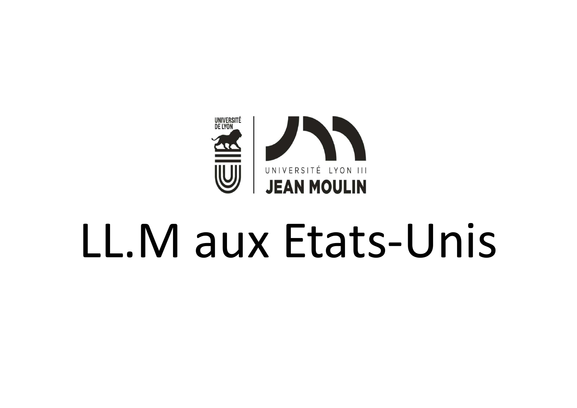

# LL.M aux Etats-Unis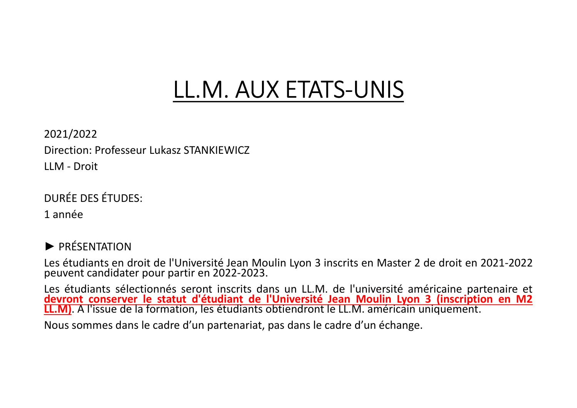# LL.M. AUX ETATS-UNIS

2021/2022 Direction: Professeur Lukasz STANKIEWICZ **LL.M. AUX E**<br>
2021/2022<br>
Direction: Professeur Lukasz STANKIEWICZ<br>
LLM - Droit<br>
DURÉE DES ÉTUDES:<br>1 année

DURÉE DES ÉTUDES:

1 année

► PRÉSENTATION

LES ENTRIMENT CONTRIMENT CONTRIMENT CONTRISTENT DE DROIT DISPONSIBLE DES ÉTUDES:<br>
LES ÉTUDES ÉTUDES:<br>
1 année<br>
DIRÉE DES ÉTUDES:<br>
1 année<br>
DES ÉTUDES :<br>
2 de droit en 2021-2022<br>
peuvent candidater pour partir en 2022-2023. 2021/2022<br>Direction: Professeur Lukasz STANKIEWICZ<br>LEM - Droit<br>Les étudiants en droit de l'Université Jean Moulin Lyon 3 inscrits en Master 2 de droit en 2021-2022<br>Jesuevent candidater pour partir en 2022-2023.<br>Les étudia Direction: Professeur Lukasz STANKIEWICZ<br>LLM - Droit<br>1 année<br>→ PRÉSENTATION<br>Les étudiants en droit de l'Université Jean Moulin Lyon 3 inscrits en Master 2 de droit en 2021-2022<br>peuvent candidater pour partir en 2022-2023. LLM - Droit<br>1 année<br>1 année<br>1 année<br>1 année<br>1 année<br>1 année<br>1 année étudiants en droit de l'Université Jean Moulin Lyon 3 inscrits en Master 2 de droit en 2021-2022<br>1 année étudiants sélectionnés seront inscrits dans un L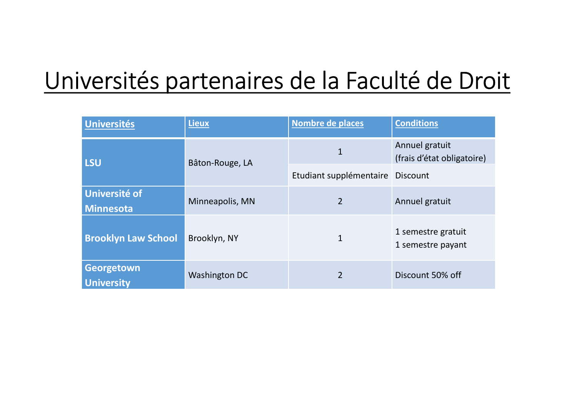# Universités partenaires de la Faculté de Droit

| versités partenaires de la Faculté de Droit |                      |                                  |                                              |
|---------------------------------------------|----------------------|----------------------------------|----------------------------------------------|
| <b>Universités</b>                          | <b>Lieux</b>         | Nombre de places                 | <b>Conditions</b>                            |
| <b>LSU</b>                                  | Bâton-Rouge, LA      | 1                                | Annuel gratuit<br>(frais d'état obligatoire) |
|                                             |                      | Etudiant supplémentaire Discount |                                              |
| <b>Université of</b><br><b>Minnesota</b>    | Minneapolis, MN      | $\overline{2}$                   | Annuel gratuit                               |
| <b>Brooklyn Law School</b>                  | Brooklyn, NY         | 1                                | 1 semestre gratuit<br>1 semestre payant      |
| Georgetown<br><b>University</b>             | <b>Washington DC</b> | $\overline{2}$                   | Discount 50% off                             |
|                                             |                      |                                  |                                              |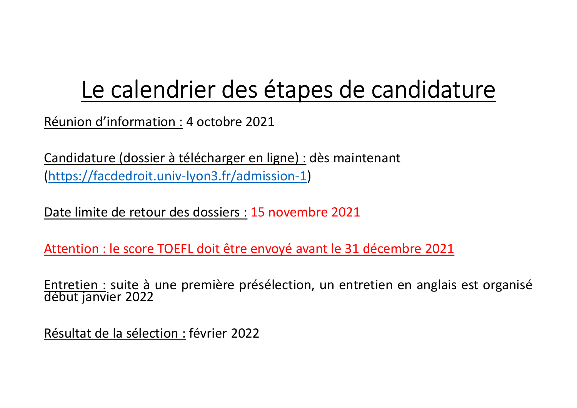# Le calendrier des étapes de candidature

Le calendrier des étapes de canon<br>Réunion d'information : 4 octobre 2021<br>Candidature (dossier à télécharger en ligne) : dès maintenant Le calendrier des étapes de candidature<br>
Réunion d'information : 4 octobre 2021<br>
Candidature (dossier à télécharger en ligne) : dès maintenant<br>
(https://facdedroit.univ-lyon3.fr/admission-1)<br>
Dete limite de ceteur des dess (https://facdedroit.univ-lyon3.fr/admission-1)

Date limite de retour des dossiers : 15 novembre 2021

Le calendrier des étapes de candidature<br>
Réunion d'information : 4 octobre 2021<br>
Candidature (dossier à télécharger en ligne) : dès maintenant<br>
(https://facdedroit.univ-lyon3.fr/admission-1)<br>
Date limite de retour des doss Réunion d'information : 4 octobre 2021<br>Candidature (dossier à télécharger en ligne) : dès maintenant<br>(https://facdedroit.univ-lyon3.fr/admission-1)<br>Date limite de retour des dossiers : 15 novembre 2021<br>Attention : le score (https://facdedroit.univ-lyon3.fr/admission-1)<br>Date limite de retour des dossiers : 15 novembre 2021<br>Attention : le score TOEFL doit être envoyé avant le 31 décembr<br>Entretien : suite à une première présélection, un entreti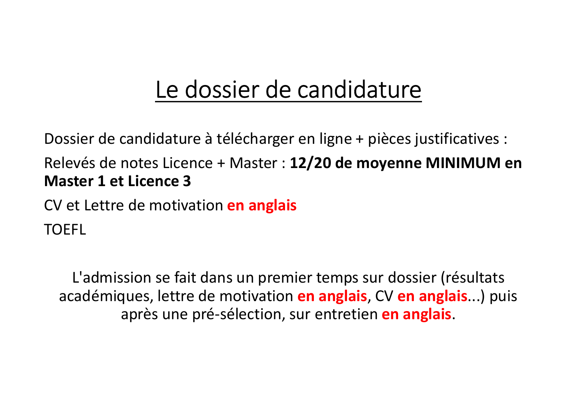# Le dossier de candidature

Dossier de candidature à télécharger en ligne + pièces justificatives :

Relevés de notes Licence + Master : 12/20 de moyenne MINIMUM en Master 1 et Licence 3

CV et Lettre de motivation en anglais TOEFL

L'admission se fait dans un premier temps sur dossier (résultats académiques, lettre de motivation en anglais, CV en anglais...) puis après une pré-sélection, sur entretien en anglais.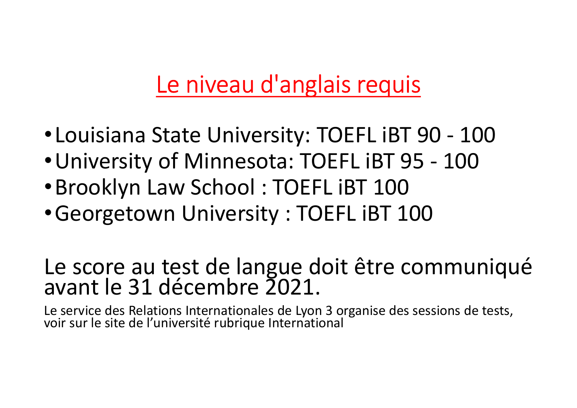# Le niveau d'anglais requis

- **Le niveau d'anglais requis<br>•Louisiana State University: TOEFL iBT 90 100<br>•University of Minnesota: TOEFL iBT 95 100<br>•Brooklyn Law School · TOEFL iBT 100** Le niveau d'anglais requis<br>•Louisiana State University: TOEFL iBT 90 - 100<br>•University of Minnesota: TOEFL iBT 95 - 100<br>•Brooklyn Law School : TOEFL iBT 100<br>•Georgetown University : TOEFL iBT 100 Le niveau d'anglais requis<br>•Louisiana State University: TOEFL iBT 90 - 100<br>•University of Minnesota: TOEFL iBT 95 - 100<br>•Brooklyn Law School : TOEFL iBT 100<br>•Georgetown University : TOEFL iBT 100 <u>Le niveau d'anglais requis</u><br>•Louisiana State University: TOEFL iBT 90 - 100<br>•University of Minnesota: TOEFL iBT 95 - 100<br>•Brooklyn Law School : TOEFL iBT 100<br>•Georgetown University : TOEFL iBT 100<br>Le score au test de lang
- 
- 
- 

# • Louisiana State University: TOEFL iBT 90 - 100<br>• University of Minnesota: TOEFL iBT 95 - 100<br>• Brooklyn Law School : TOEFL iBT 100<br>• Georgetown University : TOEFL iBT 100<br>Le score au test de langue doit être communiqué<br>a • Louisiana State University: TOEFL iBT 90 - 100<br>• University of Minnesota: TOEFL iBT 95 - 100<br>• Brooklyn Law School : TOEFL iBT 100<br>• Georgetown University : TOEFL iBT 100<br>• Georgetown University : TOEFL iBT 100<br>Le score

Le service des Relations Internationales de Lyon 3 organise des sessions de tests,<br>voir sur le site de l'université rubrique International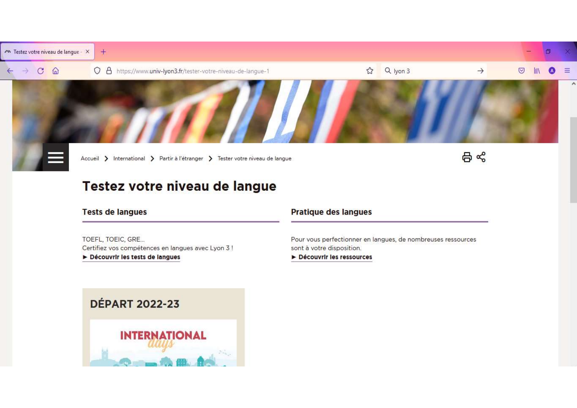

### Testez votre niveau de langue

#### **Tests de langues**

TOEFL, TOEIC, GRE... Certifiez vos compétences en langues avec Lyon 3 ! Découvrir les tests de langues

#### **Pratique des langues**

Pour vous perfectionner en langues, de nombreuses ressources sont à votre disposition.

Découvrir les ressources

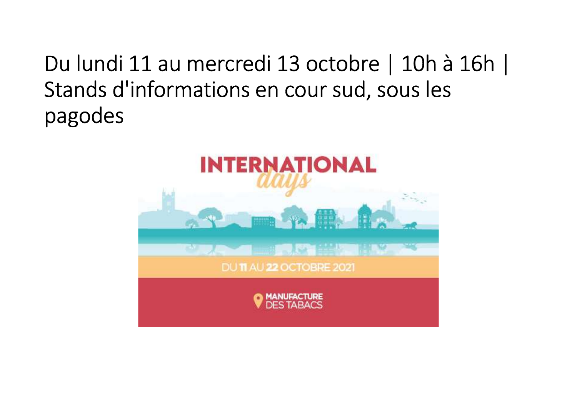# Du lundi 11 au mercredi 13 octobre | 10h à 16h |<br>Stands d'informations en cour sud, sous les<br>pagodes Stands d'informations en cour sud, sous les pagodes

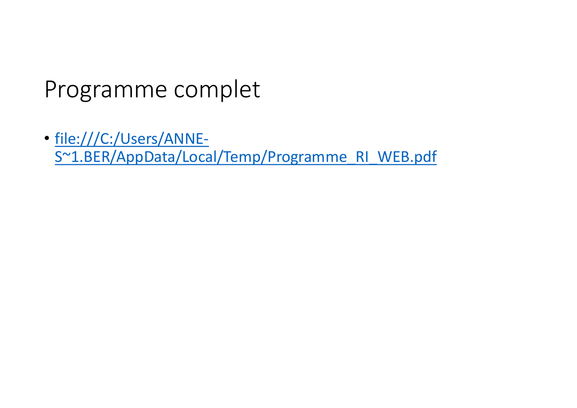## Programme complet

• file:///C:/Users/ANNE-S~1.BER/AppData/Local/Temp/Programme\_RI\_WEB.pdf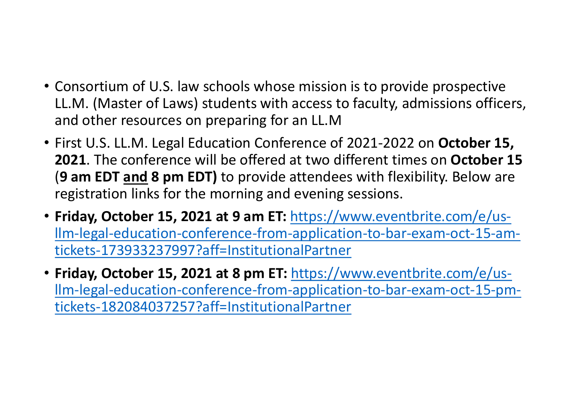- Consortium of U.S. law schools whose mission is to provide prospective LL.M. (Master of Laws) students with access to faculty, admissions officers, and other resources on preparing for an LL.M
- First U.S. LL.M. Legal Education Conference of 2021-2022 on October 15, 2021. The conference will be offered at two different times on October 15 Consortium of U.S. law schools whose mission is to provide prospective LL.M. (Master of Laws) students with access to faculty, admissions officers, and other resources on preparing for an LL.M<br>First U.S. LL.M. Legal Educa registration links for the morning and evening sessions.
- Friday, October 15, 2021 at 9 am ET: https://www.eventbrite.com/e/usllm-legal-education-conference-from-application-to-bar-exam-oct-15-amtickets-173933237997?aff=InstitutionalPartner
- Friday, October 15, 2021 at 8 pm ET: https://www.eventbrite.com/e/usllm-legal-education-conference-from-application-to-bar-exam-oct-15-pmtickets-182084037257?aff=InstitutionalPartner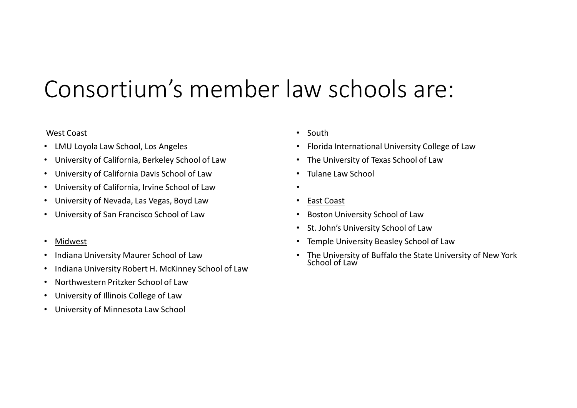# Consortium's member law schools are:

### West Coast

- LMU Loyola Law School, Los Angeles
- University of California, Berkeley School of Law
- University of California Davis School of Law
- University of California, Irvine School of Law
- University of Nevada, Las Vegas, Boyd Law
- University of San Francisco School of Law
- Midwest
- Indiana University Maurer School of Law
- Indiana University Robert H. McKinney School of Law
- Northwestern Pritzker School of Law
- University of Illinois College of Law
- University of Minnesota Law School
- South
- Florida International University College of Law
- The University of Texas School of Law
- Tulane Law School
- •
- East Coast
- Boston University School of Law
- St. John's University School of Law
- Temple University Beasley School of Law
- The University of Buffalo the State University of New York School of Law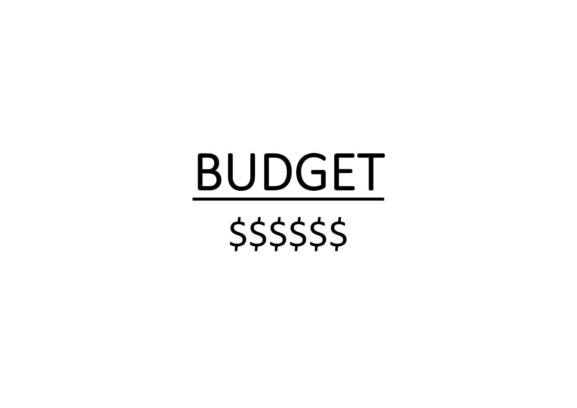# BUDGET

\$\$\$\$\$\$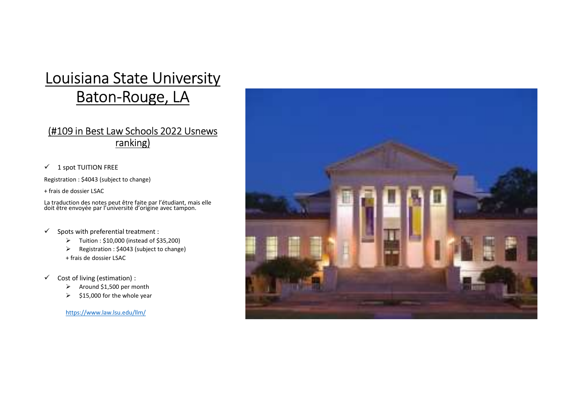# Louisiana State University<br>Baton-Rouge, LA<br>(#109 in Best Law Schools 2022 Lisnews Baton-Rouge, LA

### ranking)

 $\checkmark$  1 spot TUITION FREE

+ frais de dossier LSAC

La traduction des notes peut être faite par l'étudiant, mais elle<br>doit être envoyée par l'université d'origine avec tampon.

- 
- 
- + frais de dossier LSAC
- -
	-

https://www.law.lsu.edu/llm/

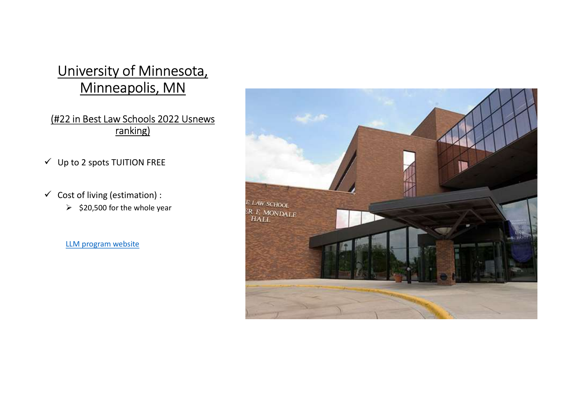### University of Minnesota, Minneapolis, MN

## ranking)

- $\checkmark$  Up to 2 spots TUITION FREE
- -

LLM program website

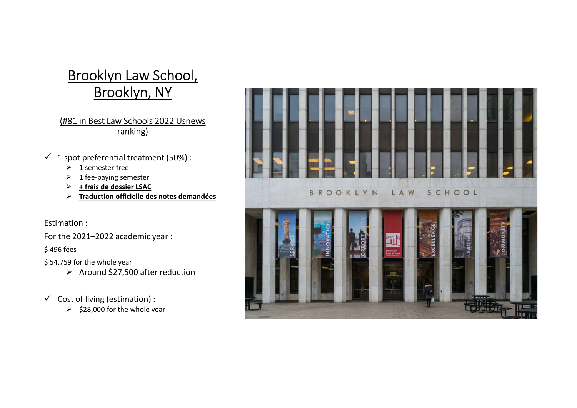### Brooklyn Law School, Brooklyn, NY

### ranking)

- -
	-
	- $\triangleright$  + frais de dossier LSAC
	- $\triangleright$  Traduction officielle des notes demandées

### Estimation :

For the 2021–2022 academic year :

\$ 496 fees

- \$ 54,759 for the whole year
	- $\triangleright$  Around \$27,500 after reduction
- -

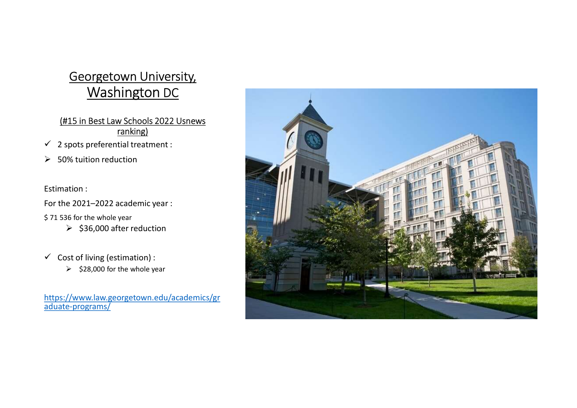### Georgetown University, Washington DC

### ranking)

- 
- 

Estimation :

For the 2021–2022 academic year :

- \$ 71 536 for the whole year
	- $\geq$  \$36,000 after reduction
- -

https://www.law.georgetown.edu/academics/gr aduate-programs/